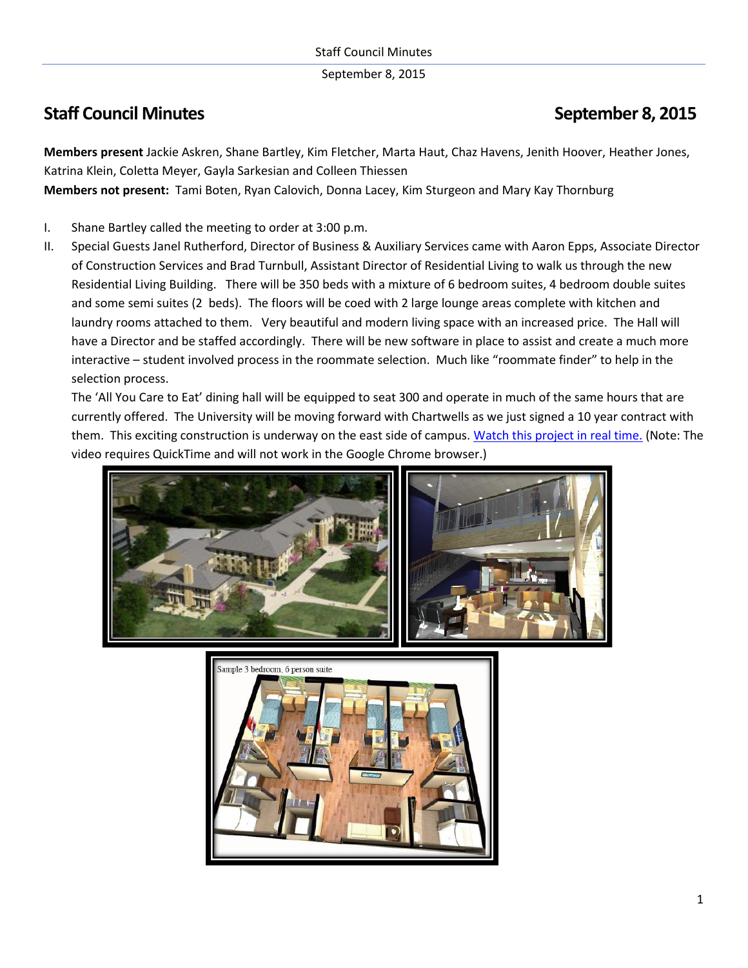September 8, 2015

## **Staff Council Minutes September 8, 2015**

**Members present** Jackie Askren, Shane Bartley, Kim Fletcher, Marta Haut, Chaz Havens, Jenith Hoover, Heather Jones, Katrina Klein, Coletta Meyer, Gayla Sarkesian and Colleen Thiessen

**Members not present:** Tami Boten, Ryan Calovich, Donna Lacey, Kim Sturgeon and Mary Kay Thornburg

- I. Shane Bartley called the meeting to order at 3:00 p.m.
- II. Special Guests Janel Rutherford, Director of Business & Auxiliary Services came with Aaron Epps, Associate Director of Construction Services and Brad Turnbull, Assistant Director of Residential Living to walk us through the new Residential Living Building. There will be 350 beds with a mixture of 6 bedroom suites, 4 bedroom double suites and some semi suites (2 beds). The floors will be coed with 2 large lounge areas complete with kitchen and laundry rooms attached to them. Very beautiful and modern living space with an increased price. The Hall will have a Director and be staffed accordingly. There will be new software in place to assist and create a much more interactive – student involved process in the roommate selection. Much like "roommate finder" to help in the selection process.

The 'All You Care to Eat' dining hall will be equipped to seat 300 and operate in much of the same hours that are currently offered. The University will be moving forward with Chartwells as we just signed a 10 year contract with them. This exciting construction is underway on the east side of campus[. Watch this project in real time.](http://www.washburn.edu/about/construction/index.html) (Note: The video requires QuickTime and will not work in the Google Chrome browser.)



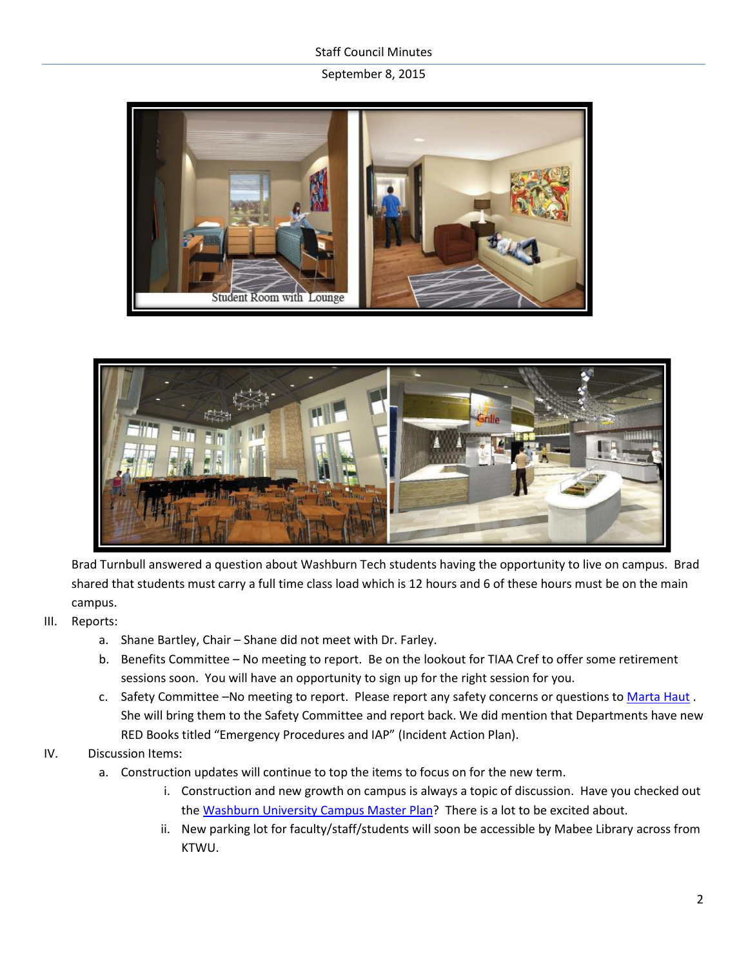## Staff Council Minutes

## September 8, 2015





Brad Turnbull answered a question about Washburn Tech students having the opportunity to live on campus. Brad shared that students must carry a full time class load which is 12 hours and 6 of these hours must be on the main campus.

- III. Reports:
	- a. Shane Bartley, Chair Shane did not meet with Dr. Farley.
	- b. Benefits Committee No meeting to report. Be on the lookout for TIAA Cref to offer some retirement sessions soon. You will have an opportunity to sign up for the right session for you.
	- c. Safety Committee –No meeting to report. Please report any safety concerns or questions to [Marta Haut](mailto:marta.haut@washburn.edu). She will bring them to the Safety Committee and report back. We did mention that Departments have new RED Books titled "Emergency Procedures and IAP" (Incident Action Plan).
- IV. Discussion Items:
	- a. Construction updates will continue to top the items to focus on for the new term.
		- i. Construction and new growth on campus is always a topic of discussion. Have you checked out the [Washburn University Campus Master Plan?](http://www.washburn.edu/about/construction/files/master-plan.pdf) There is a lot to be excited about.
		- ii. New parking lot for faculty/staff/students will soon be accessible by Mabee Library across from KTWU.